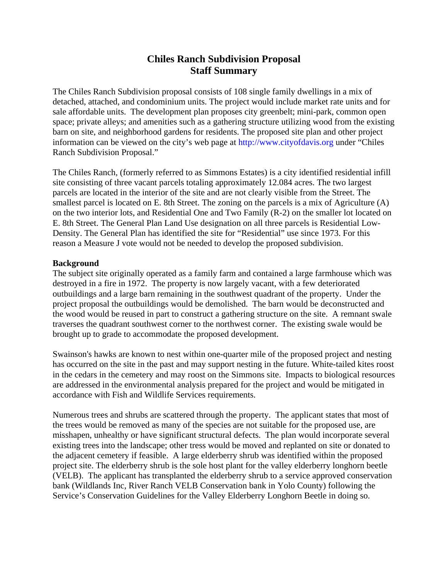# **Chiles Ranch Subdivision Proposal Staff Summary**

The Chiles Ranch Subdivision proposal consists of 108 single family dwellings in a mix of detached, attached, and condominium units. The project would include market rate units and for sale affordable units. The development plan proposes city greenbelt; mini-park, common open space; private alleys; and amenities such as a gathering structure utilizing wood from the existing barn on site, and neighborhood gardens for residents. The proposed site plan and other project information can be viewed on the city's web page at http://www.cityofdavis.org under "Chiles Ranch Subdivision Proposal."

The Chiles Ranch, (formerly referred to as Simmons Estates) is a city identified residential infill site consisting of three vacant parcels totaling approximately 12.084 acres. The two largest parcels are located in the interior of the site and are not clearly visible from the Street. The smallest parcel is located on E. 8th Street. The zoning on the parcels is a mix of Agriculture (A) on the two interior lots, and Residential One and Two Family (R-2) on the smaller lot located on E. 8th Street. The General Plan Land Use designation on all three parcels is Residential Low-Density. The General Plan has identified the site for "Residential" use since 1973. For this reason a Measure J vote would not be needed to develop the proposed subdivision.

### **Background**

The subject site originally operated as a family farm and contained a large farmhouse which was destroyed in a fire in 1972. The property is now largely vacant, with a few deteriorated outbuildings and a large barn remaining in the southwest quadrant of the property. Under the project proposal the outbuildings would be demolished. The barn would be deconstructed and the wood would be reused in part to construct a gathering structure on the site. A remnant swale traverses the quadrant southwest corner to the northwest corner. The existing swale would be brought up to grade to accommodate the proposed development.

Swainson's hawks are known to nest within one-quarter mile of the proposed project and nesting has occurred on the site in the past and may support nesting in the future. White-tailed kites roost in the cedars in the cemetery and may roost on the Simmons site. Impacts to biological resources are addressed in the environmental analysis prepared for the project and would be mitigated in accordance with Fish and Wildlife Services requirements.

Numerous trees and shrubs are scattered through the property. The applicant states that most of the trees would be removed as many of the species are not suitable for the proposed use, are misshapen, unhealthy or have significant structural defects. The plan would incorporate several existing trees into the landscape; other tress would be moved and replanted on site or donated to the adjacent cemetery if feasible. A large elderberry shrub was identified within the proposed project site. The elderberry shrub is the sole host plant for the valley elderberry longhorn beetle (VELB). The applicant has transplanted the elderberry shrub to a service approved conservation bank (Wildlands Inc, River Ranch VELB Conservation bank in Yolo County) following the Service's Conservation Guidelines for the Valley Elderberry Longhorn Beetle in doing so.